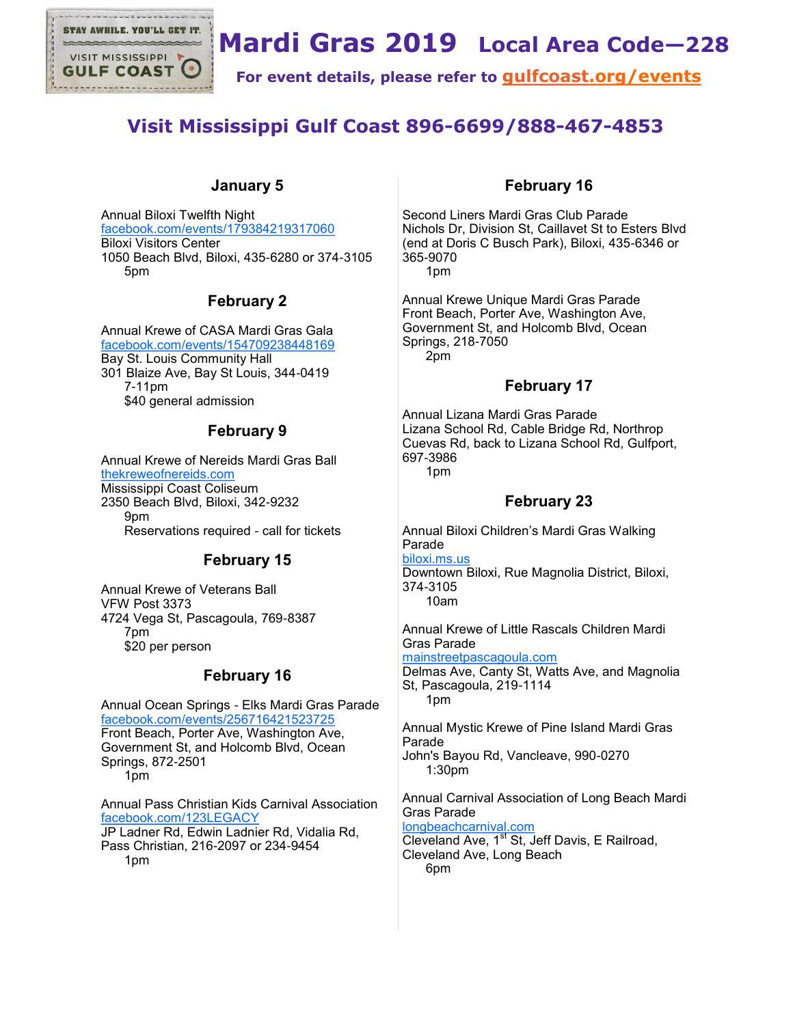

# **Mardi Gras 2019 Local Area Code—228**

**For event details, please refer to [gulfcoast.org/events](http://www.gulfcoast.org/events)**

## **Visit Mississippi Gulf Coast 896-6699/888-467-4853**

## **January 5**

Annual Biloxi Twelfth Night [facebook.com/events/179384219317060](https://www.facebook.com/events/179384219317060) Biloxi Visitors Center 1050 Beach Blvd, Biloxi, 435-6280 or 374-3105 5pm

## **February 2**

Annual Krewe of CASA Mardi Gras Gala [facebook.com/events/154709238448169](https://www.facebook.com/events/154709238448169) Bay St. Louis Community Hall 301 Blaize Ave, Bay St Louis, 344-0419 7-11pm \$40 general admission

## **February 9**

Annual Krewe of Nereids Mardi Gras Ball [thekreweofnereids.com](http://www.thekreweofnereids.com) Mississippi Coast Coliseum 2350 Beach Blvd, Biloxi, 342-9232 9pm Reservations required - call for tickets

## **February 15**

Annual Krewe of Veterans Ball VFW Post 3373 4724 Vega St, Pascagoula, 769-8387 7pm \$20 per person

## **February 16**

Annual Ocean Springs - Elks Mardi Gras Parade [facebook.com/events/256716421523725](https://www.facebook.com/events/256716421523725) Front Beach, Porter Ave, Washington Ave, Government St, and Holcomb Blvd, Ocean Springs, 872-2501 1pm

Annual Pass Christian Kids Carnival Association [facebook.com/123LEGACY](https://www.facebook.com/123LEGACY) JP Ladner Rd, Edwin Ladnier Rd, Vidalia Rd,

Pass Christian, 216-2097 or 234-9454 1pm

#### **February 16**

Second Liners Mardi Gras Club Parade Nichols Dr, Division St, Caillavet St to Esters Blvd (end at Doris C Busch Park), Biloxi, 435-6346 or 365-9070 1pm

Annual Krewe Unique Mardi Gras Parade Front Beach, Porter Ave, Washington Ave, Government St, and Holcomb Blvd, Ocean Springs, 218-7050 2pm

### **February 17**

Annual Lizana Mardi Gras Parade Lizana School Rd, Cable Bridge Rd, Northrop Cuevas Rd, back to Lizana School Rd, Gulfport, 697-3986 1pm

## **February 23**

Annual Biloxi Children's Mardi Gras Walking Parade [biloxi.ms.us](http://www.biloxi.ms.us)

Downtown Biloxi, Rue Magnolia District, Biloxi, 374-3105 10am

Annual Krewe of Little Rascals Children Mardi Gras Parade

[mainstreetpascagoula.com](http://mainstreetpascagoula.com)

Delmas Ave, Canty St, Watts Ave, and Magnolia St, Pascagoula, 219-1114 1pm

Annual Mystic Krewe of Pine Island Mardi Gras Parade John's Bayou Rd, Vancleave, 990-0270 1:30pm

Annual Carnival Association of Long Beach Mardi Gras Parade [longbeachcarnival.com](http://www.longbeachcarnival.com)

Cleveland Ave, 1<sup>st</sup> St, Jeff Davis, E Railroad, Cleveland Ave, Long Beach 6pm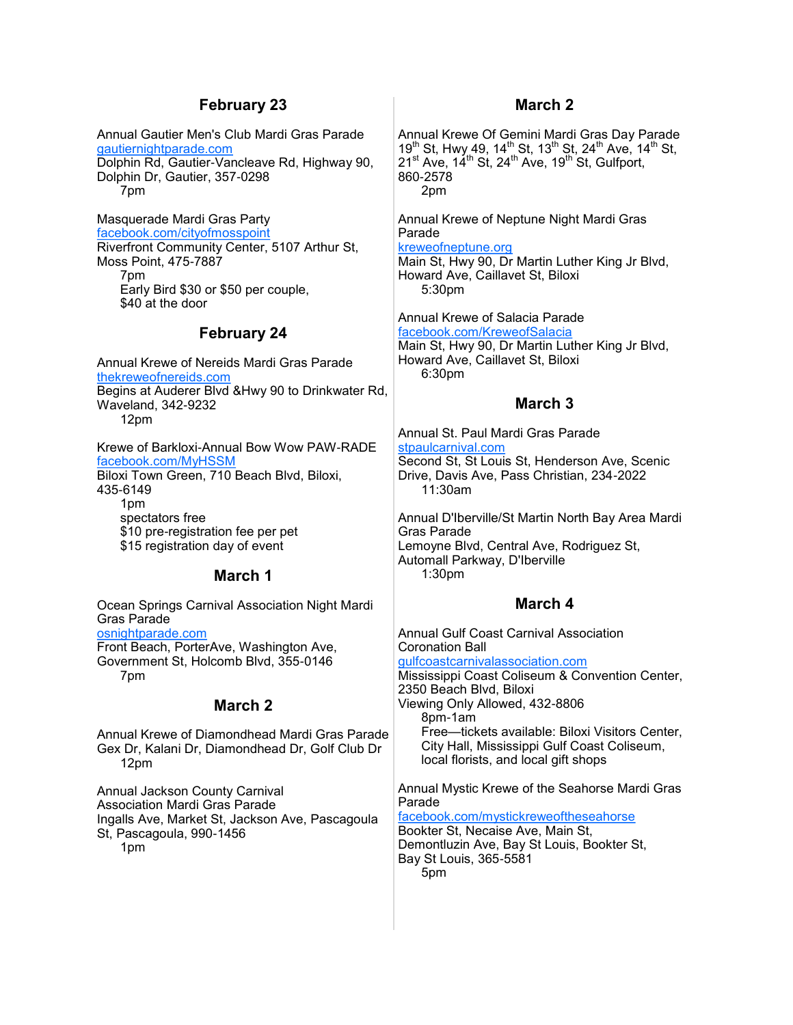#### **February 23**

Annual Gautier Men's Club Mardi Gras Parade [gautiernightparade.com](http://gautiernightparade.com) Dolphin Rd, Gautier-Vancleave Rd, Highway 90, Dolphin Dr, Gautier, 357-0298 7pm

Masquerade Mardi Gras Party [facebook.com/cityofmosspoint](https://www.facebook.com/cityofmosspoint) Riverfront Community Center, 5107 Arthur St, Moss Point, 475-7887 7pm Early Bird \$30 or \$50 per couple, \$40 at the door

#### **February 24**

Annual Krewe of Nereids Mardi Gras Parade [thekreweofnereids.com](http://www.thekreweofnereids.com) Begins at Auderer Blvd &Hwy 90 to Drinkwater Rd, Waveland, 342-9232 12pm

Krewe of Barkloxi-Annual Bow Wow PAW-RADE [facebook.com/MyHSSM](https://www.facebook.com/MyHSSM) Biloxi Town Green, 710 Beach Blvd, Biloxi, 435-6149 1pm spectators free

\$10 pre-registration fee per pet \$15 registration day of event

#### **March 1**

Ocean Springs Carnival Association Night Mardi Gras Parade [osnightparade.com](http://www.osnightparade.com) Front Beach, PorterAve, Washington Ave, Government St, Holcomb Blvd, 355-0146 7pm

#### **March 2**

Annual Krewe of Diamondhead Mardi Gras Parade Gex Dr, Kalani Dr, Diamondhead Dr, Golf Club Dr 12pm

Annual Jackson County Carnival Association Mardi Gras Parade Ingalls Ave, Market St, Jackson Ave, Pascagoula St, Pascagoula, 990-1456 1pm

#### **March 2**

Annual Krewe Of Gemini Mardi Gras Day Parade 19<sup>th</sup> St, Hwy 49, 14<sup>th</sup> St, 13<sup>th</sup> St, 24<sup>th</sup> Ave, 14<sup>th</sup> St,  $21^{\text{st}}$  Ave,  $14^{\text{th}}$  St,  $24^{\text{th}}$  Ave,  $19^{\text{th}}$  St, Gulfport, 860-2578 2pm

Annual Krewe of Neptune Night Mardi Gras Parade [kreweofneptune.org](http://kreweofneptune.org)

Main St, Hwy 90, Dr Martin Luther King Jr Blvd, Howard Ave, Caillavet St, Biloxi 5:30pm

Annual Krewe of Salacia Parade [facebook.com/KreweofSalacia](https://www.facebook.com/KreweofSalacia)

Main St, Hwy 90, Dr Martin Luther King Jr Blvd, Howard Ave, Caillavet St, Biloxi 6:30pm

#### **March 3**

Annual St. Paul Mardi Gras Parade [stpaulcarnival.com](http://www.stpaulcarnival.com) Second St, St Louis St, Henderson Ave, Scenic Drive, Davis Ave, Pass Christian, 234-2022 11:30am

Annual D'Iberville/St Martin North Bay Area Mardi Gras Parade Lemoyne Blvd, Central Ave, Rodriguez St, Automall Parkway, D'Iberville 1:30pm

#### **March 4**

Annual Gulf Coast Carnival Association Coronation Ball [gulfcoastcarnivalassociation.com](http://www.gulfcoastcarnivalassociation.com) Mississippi Coast Coliseum & Convention Center, 2350 Beach Blvd, Biloxi Viewing Only Allowed, 432-8806 8pm-1am Free—tickets available: Biloxi Visitors Center, City Hall, Mississippi Gulf Coast Coliseum, local florists, and local gift shops

Annual Mystic Krewe of the Seahorse Mardi Gras Parade

[facebook.com/mystickreweoftheseahorse](https://www.facebook.com/mystickreweoftheseahorse) Bookter St, Necaise Ave, Main St, Demontluzin Ave, Bay St Louis, Bookter St, Bay St Louis, 365-5581 5pm